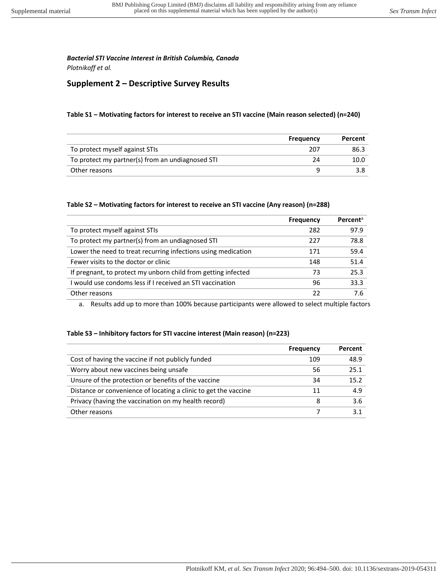*Plotnikoff et al.* 

# **Supplement 2 – Descriptive Survey Results**

#### **Table S1 – Motivating factors for interest to receive an STI vaccine (Main reason selected) (n=240)**

|                                                  | Frequency | Percent |
|--------------------------------------------------|-----------|---------|
| To protect myself against STIs                   | 207       | 86.3    |
| To protect my partner(s) from an undiagnosed STI | 24        | 10.0    |
| Other reasons                                    |           | 3.8     |

#### **Table S2 – Motivating factors for interest to receive an STI vaccine (Any reason) (n=288)**

|                                                               | <b>Frequency</b> | Percent <sup>a</sup> |
|---------------------------------------------------------------|------------------|----------------------|
| To protect myself against STIs                                | 282              | 97.9                 |
| To protect my partner(s) from an undiagnosed STI              | 227              | 78.8                 |
| Lower the need to treat recurring infections using medication | 171              | 59.4                 |
| Fewer visits to the doctor or clinic                          | 148              | 51.4                 |
| If pregnant, to protect my unborn child from getting infected | 73               | 25.3                 |
| I would use condoms less if I received an STI vaccination     | 96               | 33.3                 |
| Other reasons                                                 | 22               | 7 6                  |

a. Results add up to more than 100% because participants were allowed to select multiple factors

#### **Table S3 – Inhibitory factors for STI vaccine interest (Main reason) (n=223)**

|                                                                 | Frequency | Percent |
|-----------------------------------------------------------------|-----------|---------|
| Cost of having the vaccine if not publicly funded               | 109       | 48.9    |
| Worry about new vaccines being unsafe                           | 56        | 25.1    |
| Unsure of the protection or benefits of the vaccine             | 34        | 15.2    |
| Distance or convenience of locating a clinic to get the vaccine | 11        | 4.9     |
| Privacy (having the vaccination on my health record)            | 8         | 3.6     |
| Other reasons                                                   |           | 3 1     |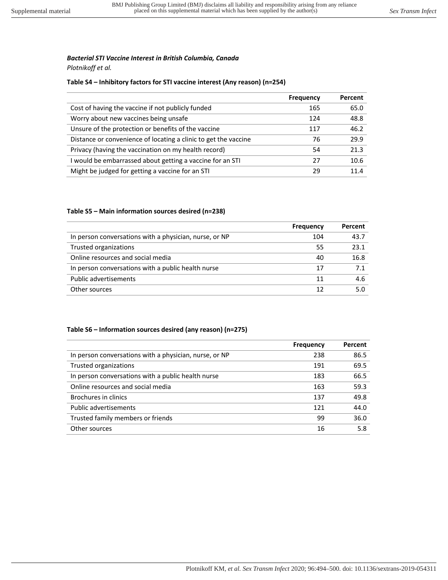*Plotnikoff et al.* 

# **Table S4 – Inhibitory factors for STI vaccine interest (Any reason) (n=254)**

|                                                                 | <b>Frequency</b> | Percent |
|-----------------------------------------------------------------|------------------|---------|
| Cost of having the vaccine if not publicly funded               | 165              | 65.0    |
| Worry about new vaccines being unsafe                           | 124              | 48.8    |
| Unsure of the protection or benefits of the vaccine             | 117              | 46.2    |
| Distance or convenience of locating a clinic to get the vaccine | 76               | 29.9    |
| Privacy (having the vaccination on my health record)            | 54               | 21.3    |
| I would be embarrassed about getting a vaccine for an STI       | 27               | 10.6    |
| Might be judged for getting a vaccine for an STI                | 29               | 114     |

### **Table S5 – Main information sources desired (n=238)**

|                                                        | Frequency | Percent |
|--------------------------------------------------------|-----------|---------|
| In person conversations with a physician, nurse, or NP | 104       | 43.7    |
| Trusted organizations                                  | 55        | 23.1    |
| Online resources and social media                      | 40        | 16.8    |
| In person conversations with a public health nurse     | 17        | 71      |
| <b>Public advertisements</b>                           | 11        | 4.6     |
| Other sources                                          | 12        | 5.0     |

### **Table S6 – Information sources desired (any reason) (n=275)**

|                                                        | <b>Frequency</b> | Percent |
|--------------------------------------------------------|------------------|---------|
| In person conversations with a physician, nurse, or NP | 238              | 86.5    |
| Trusted organizations                                  | 191              | 69.5    |
| In person conversations with a public health nurse     | 183              | 66.5    |
| Online resources and social media                      | 163              | 59.3    |
| Brochures in clinics                                   | 137              | 49.8    |
| <b>Public advertisements</b>                           | 121              | 44.0    |
| Trusted family members or friends                      | 99               | 36.0    |
| Other sources                                          | 16               | 5.8     |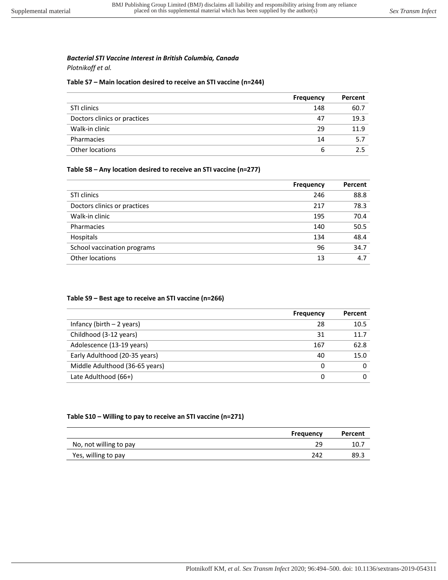*Plotnikoff et al.* 

#### **Table S7 – Main location desired to receive an STI vaccine (n=244)**

|                              | <b>Frequency</b> | Percent |
|------------------------------|------------------|---------|
| STI clinics                  | 148              | 60.7    |
| Doctors clinics or practices | 47               | 19.3    |
| Walk-in clinic               | 29               | 11.9    |
| Pharmacies                   | 14               | 5.7     |
| Other locations              | ь                | 2.5     |

#### **Table S8 – Any location desired to receive an STI vaccine (n=277)**

|                              | <b>Frequency</b> | Percent |
|------------------------------|------------------|---------|
| STI clinics                  | 246              | 88.8    |
| Doctors clinics or practices | 217              | 78.3    |
| Walk-in clinic               | 195              | 70.4    |
| Pharmacies                   | 140              | 50.5    |
| Hospitals                    | 134              | 48.4    |
| School vaccination programs  | 96               | 34.7    |
| Other locations              | 13               | 4.7     |

#### **Table S9 – Best age to receive an STI vaccine (n=266)**

|                                | <b>Frequency</b> | Percent |
|--------------------------------|------------------|---------|
| Infancy (birth $-2$ years)     | 28               | 10.5    |
| Childhood (3-12 years)         | 31               | 11.7    |
| Adolescence (13-19 years)      | 167              | 62.8    |
| Early Adulthood (20-35 years)  | 40               | 15.0    |
| Middle Adulthood (36-65 years) | 0                |         |
| Late Adulthood (66+)           |                  |         |

#### **Table S10 – Willing to pay to receive an STI vaccine (n=271)**

|                        | Frequency | Percent |
|------------------------|-----------|---------|
| No, not willing to pay | 29        | 10.7    |
| Yes, willing to pay    | 242       | 89.3    |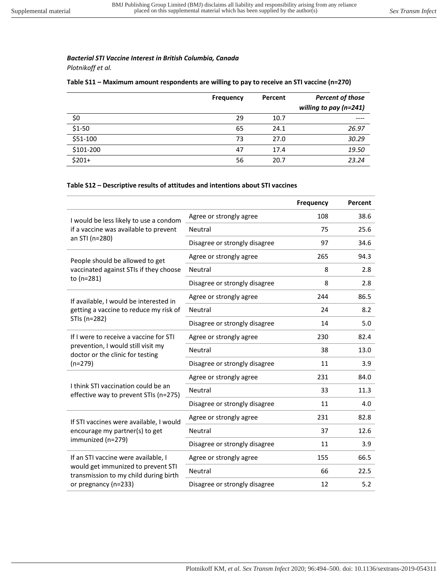*Plotnikoff et al.* 

# **Table S11 – Maximum amount respondents are willing to pay to receive an STI vaccine (n=270)**

|           | <b>Frequency</b> | Percent | <b>Percent of those</b> |
|-----------|------------------|---------|-------------------------|
|           |                  |         | willing to pay (n=241)  |
| \$0       | 29               | 10.7    | ----                    |
| $$1-50$   | 65               | 24.1    | 26.97                   |
| \$51-100  | 73               | 27.0    | 30.29                   |
| \$101-200 | 47               | 17.4    | 19.50                   |
| $$201+$   | 56               | 20.7    | 23.24                   |

# **Table S12 – Descriptive results of attitudes and intentions about STI vaccines**

|                                                                                   |                               | <b>Frequency</b> | Percent |
|-----------------------------------------------------------------------------------|-------------------------------|------------------|---------|
| I would be less likely to use a condom                                            | Agree or strongly agree       | 108              | 38.6    |
| if a vaccine was available to prevent                                             | Neutral                       | 75               | 25.6    |
| an STI (n=280)                                                                    | Disagree or strongly disagree | 97               | 34.6    |
| People should be allowed to get                                                   | Agree or strongly agree       | 265              | 94.3    |
| vaccinated against STIs if they choose                                            | <b>Neutral</b>                | 8                | 2.8     |
| to (n=281)                                                                        | Disagree or strongly disagree | 8                | 2.8     |
| If available, I would be interested in                                            | Agree or strongly agree       | 244              | 86.5    |
| getting a vaccine to reduce my risk of                                            | Neutral                       | 24               | 8.2     |
| STIs (n=282)                                                                      | Disagree or strongly disagree | 14               | 5.0     |
| If I were to receive a vaccine for STI                                            | Agree or strongly agree       | 230              | 82.4    |
| prevention, I would still visit my<br>doctor or the clinic for testing<br>(n=279) | <b>Neutral</b>                | 38               | 13.0    |
|                                                                                   | Disagree or strongly disagree | 11               | 3.9     |
| I think STI vaccination could be an<br>effective way to prevent STIs (n=275)      | Agree or strongly agree       | 231              | 84.0    |
|                                                                                   | <b>Neutral</b>                | 33               | 11.3    |
|                                                                                   | Disagree or strongly disagree | 11               | 4.0     |
| If STI vaccines were available, I would                                           | Agree or strongly agree       | 231              | 82.8    |
| encourage my partner(s) to get<br>immunized (n=279)                               | Neutral                       | 37               | 12.6    |
|                                                                                   | Disagree or strongly disagree | 11               | 3.9     |
| If an STI vaccine were available, I                                               | Agree or strongly agree       | 155              | 66.5    |
| would get immunized to prevent STI<br>transmission to my child during birth       | Neutral                       | 66               | 22.5    |
| or pregnancy (n=233)                                                              | Disagree or strongly disagree | 12               | 5.2     |